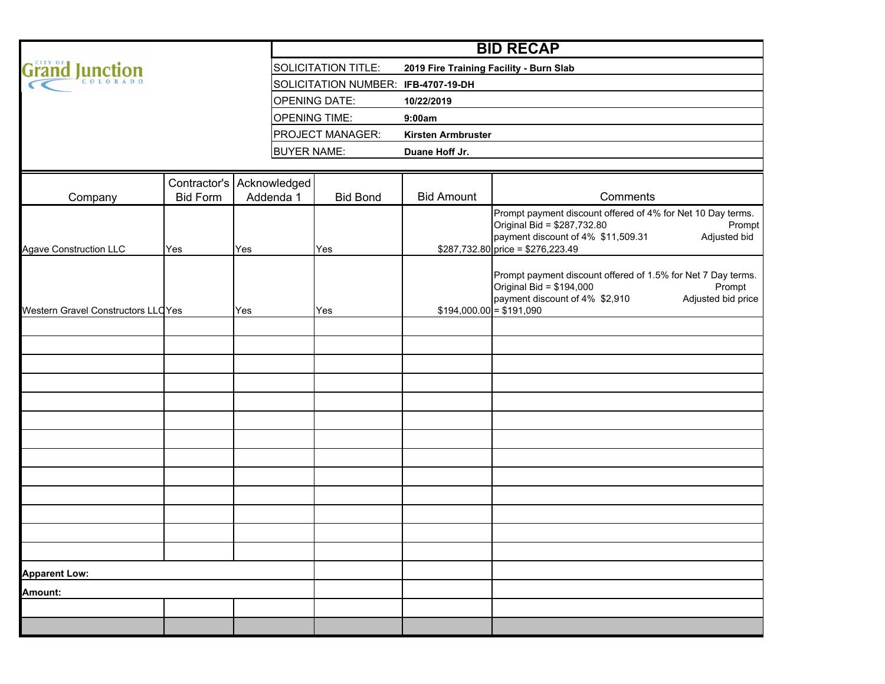|                                            |                           |     | <b>BID RECAP</b>     |                                     |                                             |                                                                                                                                                                                                  |  |  |  |  |  |  |
|--------------------------------------------|---------------------------|-----|----------------------|-------------------------------------|---------------------------------------------|--------------------------------------------------------------------------------------------------------------------------------------------------------------------------------------------------|--|--|--|--|--|--|
| <b>Grand Junction</b>                      |                           |     |                      | <b>SOLICITATION TITLE:</b>          | 2019 Fire Training Facility - Burn Slab     |                                                                                                                                                                                                  |  |  |  |  |  |  |
|                                            |                           |     |                      | SOLICITATION NUMBER: IFB-4707-19-DH |                                             |                                                                                                                                                                                                  |  |  |  |  |  |  |
|                                            |                           |     |                      | <b>OPENING DATE:</b>                | 10/22/2019                                  |                                                                                                                                                                                                  |  |  |  |  |  |  |
|                                            |                           |     | <b>OPENING TIME:</b> |                                     | 9:00am                                      |                                                                                                                                                                                                  |  |  |  |  |  |  |
|                                            |                           |     |                      | <b>PROJECT MANAGER:</b>             | <b>Kirsten Armbruster</b><br>Duane Hoff Jr. |                                                                                                                                                                                                  |  |  |  |  |  |  |
|                                            |                           |     | <b>BUYER NAME:</b>   |                                     |                                             |                                                                                                                                                                                                  |  |  |  |  |  |  |
|                                            |                           |     |                      |                                     |                                             |                                                                                                                                                                                                  |  |  |  |  |  |  |
|                                            | Contractor's Acknowledged |     |                      |                                     |                                             |                                                                                                                                                                                                  |  |  |  |  |  |  |
| Company                                    | <b>Bid Form</b>           |     | Addenda 1            | <b>Bid Bond</b>                     | <b>Bid Amount</b>                           | Comments                                                                                                                                                                                         |  |  |  |  |  |  |
| <b>Agave Construction LLC</b>              | Yes                       | Yes |                      | Yes                                 |                                             | Prompt payment discount offered of 4% for Net 10 Day terms.<br>Original Bid = \$287,732.80<br>Prompt<br>payment discount of 4% \$11,509.31<br>Adjusted bid<br>$$287,732.80$ price = \$276,223.49 |  |  |  |  |  |  |
| Western Gravel Constructors LLC Yes<br>Yes |                           |     | Yes                  |                                     | $$194,000.00 = $191,090$                    | Prompt payment discount offered of 1.5% for Net 7 Day terms.<br>Original Bid = \$194,000<br>Prompt<br>Adjusted bid price<br>payment discount of 4% \$2,910                                       |  |  |  |  |  |  |
|                                            |                           |     |                      |                                     |                                             |                                                                                                                                                                                                  |  |  |  |  |  |  |
|                                            |                           |     |                      |                                     |                                             |                                                                                                                                                                                                  |  |  |  |  |  |  |
|                                            |                           |     |                      |                                     |                                             |                                                                                                                                                                                                  |  |  |  |  |  |  |
|                                            |                           |     |                      |                                     |                                             |                                                                                                                                                                                                  |  |  |  |  |  |  |
|                                            |                           |     |                      |                                     |                                             |                                                                                                                                                                                                  |  |  |  |  |  |  |
|                                            |                           |     |                      |                                     |                                             |                                                                                                                                                                                                  |  |  |  |  |  |  |
|                                            |                           |     |                      |                                     |                                             |                                                                                                                                                                                                  |  |  |  |  |  |  |
|                                            |                           |     |                      |                                     |                                             |                                                                                                                                                                                                  |  |  |  |  |  |  |
|                                            |                           |     |                      |                                     |                                             |                                                                                                                                                                                                  |  |  |  |  |  |  |
| <b>Apparent Low:</b>                       |                           |     |                      |                                     |                                             |                                                                                                                                                                                                  |  |  |  |  |  |  |
| Amount:                                    |                           |     |                      |                                     |                                             |                                                                                                                                                                                                  |  |  |  |  |  |  |
|                                            |                           |     |                      |                                     |                                             |                                                                                                                                                                                                  |  |  |  |  |  |  |
|                                            |                           |     |                      |                                     |                                             |                                                                                                                                                                                                  |  |  |  |  |  |  |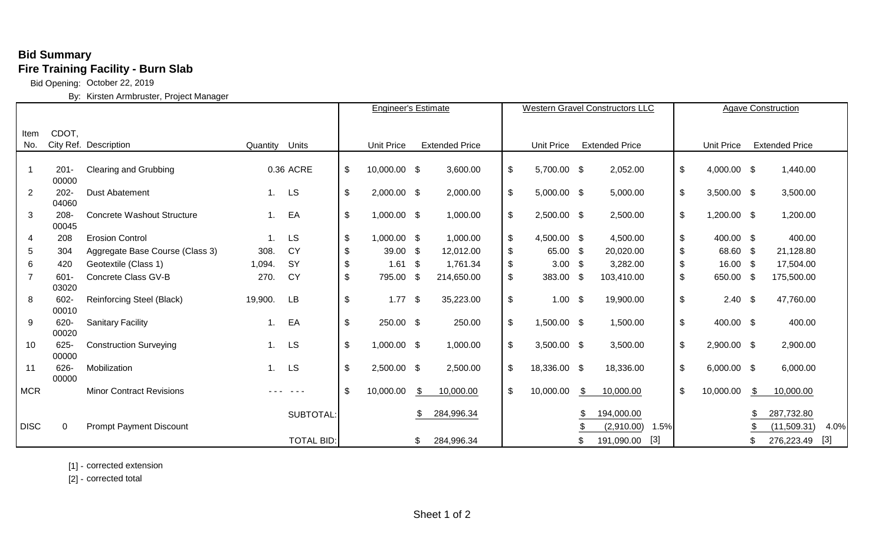## **Bid Summary Fire Training Facility - Burn Slab**

Bid Opening: October 22, 2019

By: Kirsten Armbruster, Project Manager

|                |                  |                                   |                   |                   | <b>Engineer's Estimate</b> |              |                       | <b>Western Gravel Constructors LLC</b> |                            |                                            |      | <b>Agave Construction</b> |                           |                   |    |                       |       |
|----------------|------------------|-----------------------------------|-------------------|-------------------|----------------------------|--------------|-----------------------|----------------------------------------|----------------------------|--------------------------------------------|------|---------------------------|---------------------------|-------------------|----|-----------------------|-------|
|                |                  |                                   |                   |                   |                            |              |                       |                                        |                            |                                            |      |                           |                           |                   |    |                       |       |
| Item           | CDOT,            |                                   |                   |                   |                            |              |                       |                                        |                            |                                            |      |                           |                           |                   |    |                       |       |
| No.            |                  | City Ref. Description             | Quantity<br>Units |                   | <b>Unit Price</b>          |              | <b>Extended Price</b> |                                        |                            | <b>Unit Price</b><br><b>Extended Price</b> |      |                           |                           | <b>Unit Price</b> |    | <b>Extended Price</b> |       |
|                |                  |                                   |                   |                   |                            |              |                       |                                        |                            |                                            |      |                           |                           |                   |    |                       |       |
| -1             | $201 -$          | <b>Clearing and Grubbing</b>      |                   | 0.36 ACRE         | $\boldsymbol{\mathsf{S}}$  | 10,000.00 \$ |                       | 3,600.00                               | $\boldsymbol{\mathsf{\$}}$ | 5,700.00 \$                                |      | 2,052.00                  | $\boldsymbol{\mathsf{S}}$ | 4,000.00 \$       |    | 1,440.00              |       |
|                | 00000            |                                   |                   |                   |                            |              |                       |                                        |                            |                                            |      |                           |                           |                   |    |                       |       |
| $\overline{2}$ | $202 -$          | <b>Dust Abatement</b>             | 1.                | <b>LS</b>         | $\boldsymbol{\mathsf{s}}$  | 2,000.00 \$  |                       | 2,000.00                               | $\boldsymbol{\mathsf{S}}$  | $5,000.00$ \$                              |      | 5,000.00                  | \$                        | $3,500.00$ \$     |    | 3,500.00              |       |
|                | 04060            |                                   |                   |                   |                            |              |                       |                                        |                            |                                            |      |                           |                           |                   |    |                       |       |
| 3              | $208 -$<br>00045 | <b>Concrete Washout Structure</b> | 1.                | EA                | $\boldsymbol{\mathsf{S}}$  | 1,000.00 \$  |                       | 1,000.00                               | $\frac{1}{2}$              | 2,500.00 \$                                |      | 2,500.00                  | \$                        | 1,200.00 \$       |    | 1,200.00              |       |
| 4              | 208              | <b>Erosion Control</b>            |                   | <b>LS</b>         | $\boldsymbol{\mathsf{s}}$  | 1,000.00 \$  |                       | 1,000.00                               | $\boldsymbol{\mathsf{S}}$  | 4,500.00 \$                                |      | 4,500.00                  | \$                        | 400.00 \$         |    | 400.00                |       |
| 5              | 304              | Aggregate Base Course (Class 3)   | 308.              | <b>CY</b>         | \$                         | 39.00 \$     |                       | 12,012.00                              | \$                         | 65.00                                      | \$   | 20,020.00                 | \$                        | 68.60 \$          |    | 21,128.80             |       |
|                |                  |                                   |                   |                   |                            |              |                       |                                        |                            |                                            |      |                           |                           |                   |    |                       |       |
| 6              | 420              | Geotextile (Class 1)              | 1,094.            | <b>SY</b>         | \$                         | $1.61$ \$    |                       | 1,761.34                               | \$                         | 3.00                                       | - \$ | 3,282.00                  | \$                        | $16.00 \quad $$   |    | 17,504.00             |       |
| $\overline{7}$ | 601-             | <b>Concrete Class GV-B</b>        | 270.              | <b>CY</b>         | $\boldsymbol{\mathsf{S}}$  | 795.00 \$    |                       | 214,650.00                             | $\boldsymbol{\mathsf{\$}}$ | 383.00                                     | \$   | 103,410.00                | \$                        | 650.00 \$         |    | 175,500.00            |       |
|                | 03020            |                                   |                   |                   |                            |              |                       |                                        |                            |                                            |      |                           |                           |                   |    |                       |       |
| 8              | 602-             | <b>Reinforcing Steel (Black)</b>  | 19,900.           | LB                | $\boldsymbol{\mathsf{S}}$  | $1.77$ \$    |                       | 35,223.00                              | $\boldsymbol{\mathsf{\$}}$ | 1.00                                       | \$   | 19,900.00                 | \$                        | $2.40$ \$         |    | 47,760.00             |       |
|                | 00010<br>620-    |                                   |                   | EA                | $\boldsymbol{\mathsf{S}}$  | 250.00 \$    |                       | 250.00                                 |                            | 1,500.00 \$                                |      | 1,500.00                  | \$                        | 400.00 \$         |    | 400.00                |       |
| 9              | 00020            | <b>Sanitary Facility</b>          |                   |                   |                            |              |                       |                                        | $\boldsymbol{\mathsf{\$}}$ |                                            |      |                           |                           |                   |    |                       |       |
| 10             | $625 -$          | <b>Construction Surveying</b>     |                   | LS                | $\sqrt[6]{\frac{1}{2}}$    | 1,000.00 \$  |                       | 1,000.00                               | $\boldsymbol{\mathsf{S}}$  | $3,500.00$ \$                              |      | 3,500.00                  | \$                        | 2,900.00 \$       |    | 2,900.00              |       |
|                | 00000            |                                   |                   |                   |                            |              |                       |                                        |                            |                                            |      |                           |                           |                   |    |                       |       |
| 11             | 626              | Mobilization                      | 1.                | LS                | $\boldsymbol{\mathsf{S}}$  | 2,500.00 \$  |                       | 2,500.00                               | $\frac{1}{2}$              | 18,336.00 \$                               |      | 18,336.00                 | \$                        | $6,000.00$ \$     |    | 6,000.00              |       |
|                | 00000            |                                   |                   |                   |                            |              |                       |                                        |                            |                                            |      |                           |                           |                   |    |                       |       |
| <b>MCR</b>     |                  | <b>Minor Contract Revisions</b>   |                   |                   | $\mathfrak{L}$             | 10,000.00    | \$                    | 10,000.00                              | $\boldsymbol{\mathsf{\$}}$ | 10,000.00                                  | \$   | 10,000.00                 | \$                        | 10,000.00         | \$ | 10,000.00             |       |
|                |                  |                                   |                   |                   |                            |              |                       |                                        |                            |                                            |      |                           |                           |                   |    |                       |       |
|                |                  |                                   |                   | <b>SUBTOTAL</b>   |                            |              |                       | 284,996.34                             |                            |                                            | S    | 194,000.00                |                           |                   |    | 287,732.80            |       |
| <b>DISC</b>    | $\mathbf 0$      | <b>Prompt Payment Discount</b>    |                   |                   |                            |              |                       |                                        |                            |                                            |      | 1.5%<br>(2,910.00)        |                           |                   |    | (11,509.31)           | 4.0%  |
|                |                  |                                   |                   | <b>TOTAL BID:</b> |                            |              | ß.                    | 284,996.34                             |                            |                                            | \$   | $[3]$<br>191,090.00       |                           |                   |    | 276,223.49            | $[3]$ |

[1] - corrected extension

[2] - corrected total